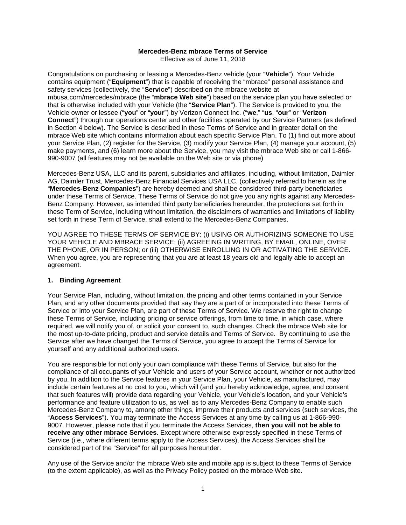## **Mercedes-Benz mbrace Terms of Service**

Effective as of June 11, 2018

Congratulations on purchasing or leasing a Mercedes-Benz vehicle (your "**Vehicle**"). Your Vehicle contains equipment ("**Equipment**") that is capable of receiving the "mbrace" personal assistance and safety services (collectively, the "**Service**") described on the mbrace website at mbusa.com/mercedes/mbrace (the "**mbrace Web site**") based on the service plan you have selected or that is otherwise included with your Vehicle (the "**Service Plan**"). The Service is provided to you, the Vehicle owner or lessee ("**you**" or "**your**") by Verizon Connect Inc. ("**we**," "**us**, "**our**" or "**Verizon Connect**") through our operations center and other facilities operated by our Service Partners (as defined in Section 4 below). The Service is described in these Terms of Service and in greater detail on the mbrace Web site which contains information about each specific Service Plan. To (1) find out more about your Service Plan, (2) register for the Service, (3) modify your Service Plan, (4) manage your account, (5) make payments, and (6) learn more about the Service, you may visit the mbrace Web site or call 1-866- 990-9007 (all features may not be available on the Web site or via phone)

Mercedes-Benz USA, LLC and its parent, subsidiaries and affiliates, including, without limitation, Daimler AG, Daimler Trust, Mercedes-Benz Financial Services USA LLC. (collectively referred to herein as the "**Mercedes-Benz Companies**") are hereby deemed and shall be considered third-party beneficiaries under these Terms of Service. These Terms of Service do not give you any rights against any Mercedes-Benz Company. However, as intended third party beneficiaries hereunder, the protections set forth in these Term of Service, including without limitation, the disclaimers of warranties and limitations of liability set forth in these Term of Service, shall extend to the Mercedes-Benz Companies.

YOU AGREE TO THESE TERMS OF SERVICE BY: (i) USING OR AUTHORIZING SOMEONE TO USE YOUR VEHICLE AND MBRACE SERVICE; (ii) AGREEING IN WRITING, BY EMAIL, ONLINE, OVER THE PHONE, OR IN PERSON; or (iii) OTHERWISE ENROLLING IN OR ACTIVATING THE SERVICE. When you agree, you are representing that you are at least 18 years old and legally able to accept an agreement.

### **1. Binding Agreement**

Your Service Plan, including, without limitation, the pricing and other terms contained in your Service Plan, and any other documents provided that say they are a part of or incorporated into these Terms of Service or into your Service Plan, are part of these Terms of Service. We reserve the right to change these Terms of Service, including pricing or service offerings, from time to time, in which case, where required, we will notify you of, or solicit your consent to, such changes. Check the mbrace Web site for the most up-to-date pricing, product and service details and Terms of Service. By continuing to use the Service after we have changed the Terms of Service, you agree to accept the Terms of Service for yourself and any additional authorized users.

You are responsible for not only your own compliance with these Terms of Service, but also for the compliance of all occupants of your Vehicle and users of your Service account, whether or not authorized by you. In addition to the Service features in your Service Plan, your Vehicle, as manufactured, may include certain features at no cost to you, which will (and you hereby acknowledge, agree, and consent that such features will) provide data regarding your Vehicle, your Vehicle's location, and your Vehicle's performance and feature utilization to us, as well as to any Mercedes-Benz Company to enable such Mercedes-Benz Company to, among other things, improve their products and services (such services, the "**Access Services**"). You may terminate the Access Services at any time by calling us at 1-866-990- 9007. However, please note that if you terminate the Access Services, **then you will not be able to receive any other mbrace Services**. Except where otherwise expressly specified in these Terms of Service (i.e., where different terms apply to the Access Services), the Access Services shall be considered part of the "Service" for all purposes hereunder.

Any use of the Service and/or the mbrace Web site and mobile app is subject to these Terms of Service (to the extent applicable), as well as the Privacy Policy posted on the mbrace Web site.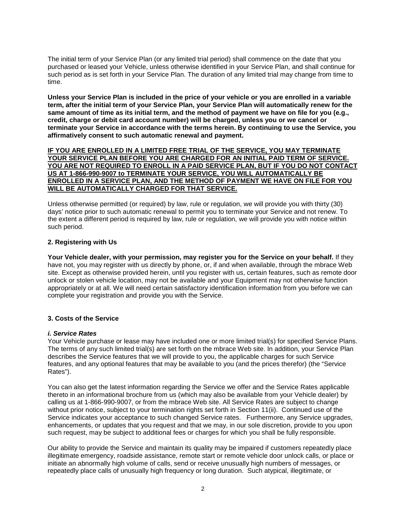The initial term of your Service Plan (or any limited trial period) shall commence on the date that you purchased or leased your Vehicle, unless otherwise identified in your Service Plan, and shall continue for such period as is set forth in your Service Plan. The duration of any limited trial may change from time to time.

**Unless your Service Plan is included in the price of your vehicle or you are enrolled in a variable term, after the initial term of your Service Plan, your Service Plan will automatically renew for the same amount of time as its initial term, and the method of payment we have on file for you (e.g., credit, charge or debit card account number) will be charged, unless you or we cancel or terminate your Service in accordance with the terms herein. By continuing to use the Service, you affirmatively consent to such automatic renewal and payment.** 

#### **IF YOU ARE ENROLLED IN A LIMITED FREE TRIAL OF THE SERVICE, YOU MAY TERMINATE YOUR SERVICE PLAN BEFORE YOU ARE CHARGED FOR AN INITIAL PAID TERM OF SERVICE. YOU ARE NOT REQUIRED TO ENROLL IN A PAID SERVICE PLAN, BUT IF YOU DO NOT CONTACT US AT 1-866-990-9007 to TERMINATE YOUR SERVICE, YOU WILL AUTOMATICALLY BE ENROLLED IN A SERVICE PLAN, AND THE METHOD OF PAYMENT WE HAVE ON FILE FOR YOU WILL BE AUTOMATICALLY CHARGED FOR THAT SERVICE.**

Unless otherwise permitted (or required) by law, rule or regulation, we will provide you with thirty (30) days' notice prior to such automatic renewal to permit you to terminate your Service and not renew. To the extent a different period is required by law, rule or regulation, we will provide you with notice within such period.

## **2. Registering with Us**

**Your Vehicle dealer, with your permission, may register you for the Service on your behalf.** If they have not, you may register with us directly by phone, or, if and when available, through the mbrace Web site. Except as otherwise provided herein, until you register with us, certain features, such as remote door unlock or stolen vehicle location, may not be available and your Equipment may not otherwise function appropriately or at all. We will need certain satisfactory identification information from you before we can complete your registration and provide you with the Service.

# **3. Costs of the Service**

### *i. Service Rates*

Your Vehicle purchase or lease may have included one or more limited trial(s) for specified Service Plans. The terms of any such limited trial(s) are set forth on the mbrace Web site. In addition, your Service Plan describes the Service features that we will provide to you, the applicable charges for such Service features, and any optional features that may be available to you (and the prices therefor) (the "Service Rates").

You can also get the latest information regarding the Service we offer and the Service Rates applicable thereto in an informational brochure from us (which may also be available from your Vehicle dealer) by calling us at 1-866-990-9007, or from the mbrace Web site. All Service Rates are subject to change without prior notice, subject to your termination rights set forth in Section 11(ii). Continued use of the Service indicates your acceptance to such changed Service rates. Furthermore, any Service upgrades, enhancements, or updates that you request and that we may, in our sole discretion, provide to you upon such request, may be subject to additional fees or charges for which you shall be fully responsible.

Our ability to provide the Service and maintain its quality may be impaired if customers repeatedly place illegitimate emergency, roadside assistance, remote start or remote vehicle door unlock calls, or place or initiate an abnormally high volume of calls, send or receive unusually high numbers of messages, or repeatedly place calls of unusually high frequency or long duration. Such atypical, illegitimate, or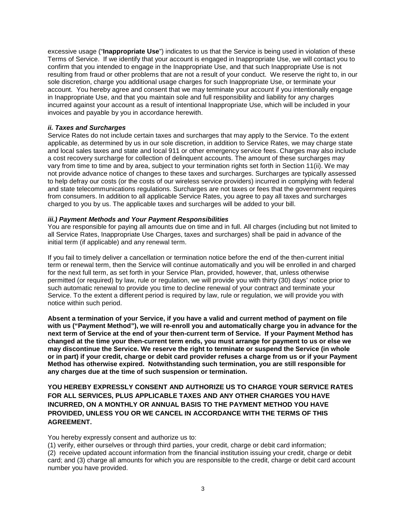excessive usage ("**Inappropriate Use**") indicates to us that the Service is being used in violation of these Terms of Service. If we identify that your account is engaged in Inappropriate Use, we will contact you to confirm that you intended to engage in the Inappropriate Use, and that such Inappropriate Use is not resulting from fraud or other problems that are not a result of your conduct. We reserve the right to, in our sole discretion, charge you additional usage charges for such Inappropriate Use, or terminate your account. You hereby agree and consent that we may terminate your account if you intentionally engage in Inappropriate Use, and that you maintain sole and full responsibility and liability for any charges incurred against your account as a result of intentional Inappropriate Use, which will be included in your invoices and payable by you in accordance herewith.

### *ii. Taxes and Surcharges*

Service Rates do not include certain taxes and surcharges that may apply to the Service. To the extent applicable, as determined by us in our sole discretion, in addition to Service Rates, we may charge state and local sales taxes and state and local 911 or other emergency service fees. Charges may also include a cost recovery surcharge for collection of delinquent accounts. The amount of these surcharges may vary from time to time and by area, subject to your termination rights set forth in Section 11(ii). We may not provide advance notice of changes to these taxes and surcharges. Surcharges are typically assessed to help defray our costs (or the costs of our wireless service providers) incurred in complying with federal and state telecommunications regulations. Surcharges are not taxes or fees that the government requires from consumers. In addition to all applicable Service Rates, you agree to pay all taxes and surcharges charged to you by us. The applicable taxes and surcharges will be added to your bill.

## *iii.) Payment Methods and Your Payment Responsibilities*

You are responsible for paying all amounts due on time and in full. All charges (including but not limited to all Service Rates, Inappropriate Use Charges, taxes and surcharges) shall be paid in advance of the initial term (if applicable) and any renewal term.

If you fail to timely deliver a cancellation or termination notice before the end of the then-current initial term or renewal term, then the Service will continue automatically and you will be enrolled in and charged for the next full term, as set forth in your Service Plan, provided, however, that, unless otherwise permitted (or required) by law, rule or regulation, we will provide you with thirty (30) days' notice prior to such automatic renewal to provide you time to decline renewal of your contract and terminate your Service. To the extent a different period is required by law, rule or regulation, we will provide you with notice within such period.

**Absent a termination of your Service, if you have a valid and current method of payment on file with us ("Payment Method"), we will re-enroll you and automatically charge you in advance for the next term of Service at the end of your then-current term of Service. If your Payment Method has changed at the time your then-current term ends, you must arrange for payment to us or else we may discontinue the Service. We reserve the right to terminate or suspend the Service (in whole or in part) if your credit, charge or debit card provider refuses a charge from us or if your Payment Method has otherwise expired. Notwithstanding such termination, you are still responsible for any charges due at the time of such suspension or termination.**

**YOU HEREBY EXPRESSLY CONSENT AND AUTHORIZE US TO CHARGE YOUR SERVICE RATES FOR ALL SERVICES, PLUS APPLICABLE TAXES AND ANY OTHER CHARGES YOU HAVE INCURRED, ON A MONTHLY OR ANNUAL BASIS TO THE PAYMENT METHOD YOU HAVE PROVIDED, UNLESS YOU OR WE CANCEL IN ACCORDANCE WITH THE TERMS OF THIS AGREEMENT.** 

You hereby expressly consent and authorize us to:

(1) verify, either ourselves or through third parties, your credit, charge or debit card information;

(2) receive updated account information from the financial institution issuing your credit, charge or debit card; and (3) charge all amounts for which you are responsible to the credit, charge or debit card account number you have provided.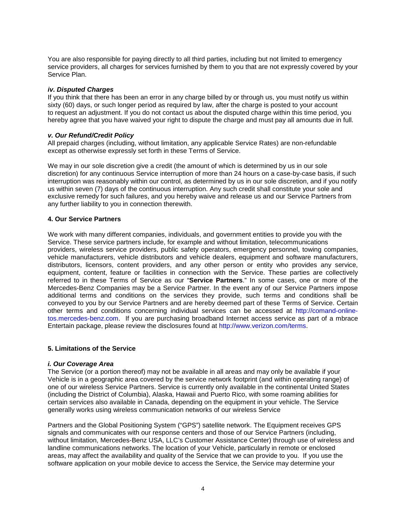You are also responsible for paying directly to all third parties, including but not limited to emergency service providers, all charges for services furnished by them to you that are not expressly covered by your Service Plan.

### *iv. Disputed Charges*

If you think that there has been an error in any charge billed by or through us, you must notify us within sixty (60) days, or such longer period as required by law, after the charge is posted to your account to request an adjustment. If you do not contact us about the disputed charge within this time period, you hereby agree that you have waived your right to dispute the charge and must pay all amounts due in full.

## *v. Our Refund/Credit Policy*

All prepaid charges (including, without limitation, any applicable Service Rates) are non-refundable except as otherwise expressly set forth in these Terms of Service.

We may in our sole discretion give a credit (the amount of which is determined by us in our sole discretion) for any continuous Service interruption of more than 24 hours on a case-by-case basis, if such interruption was reasonably within our control, as determined by us in our sole discretion, and if you notify us within seven (7) days of the continuous interruption. Any such credit shall constitute your sole and exclusive remedy for such failures, and you hereby waive and release us and our Service Partners from any further liability to you in connection therewith.

## **4. Our Service Partners**

We work with many different companies, individuals, and government entities to provide you with the Service. These service partners include, for example and without limitation, telecommunications providers, wireless service providers, public safety operators, emergency personnel, towing companies, vehicle manufacturers, vehicle distributors and vehicle dealers, equipment and software manufacturers, distributors, licensors, content providers, and any other person or entity who provides any service, equipment, content, feature or facilities in connection with the Service. These parties are collectively referred to in these Terms of Service as our "**Service Partners**." In some cases, one or more of the Mercedes-Benz Companies may be a Service Partner. In the event any of our Service Partners impose additional terms and conditions on the services they provide, such terms and conditions shall be conveyed to you by our Service Partners and are hereby deemed part of these Terms of Service. Certain other terms and conditions concerning individual services can be accessed at [http://comand-online](http://comand-online-tos.mercedes-benz.com/)[tos.mercedes-benz.com.](http://comand-online-tos.mercedes-benz.com/) If you are purchasing broadband Internet access service as part of a mbrace Entertain package, please review the disclosures found at [http://www.verizon.com/terms.](http://www.verizon.com/terms)

### **5. Limitations of the Service**

### *i. Our Coverage Area*

The Service (or a portion thereof) may not be available in all areas and may only be available if your Vehicle is in a geographic area covered by the service network footprint (and within operating range) of one of our wireless Service Partners. Service is currently only available in the continental United States (including the District of Columbia), Alaska, Hawaii and Puerto Rico, with some roaming abilities for certain services also available in Canada, depending on the equipment in your vehicle. The Service generally works using wireless communication networks of our wireless Service

Partners and the Global Positioning System ("GPS") satellite network. The Equipment receives GPS signals and communicates with our response centers and those of our Service Partners (including, without limitation, Mercedes-Benz USA, LLC's Customer Assistance Center) through use of wireless and landline communications networks. The location of your Vehicle, particularly in remote or enclosed areas, may affect the availability and quality of the Service that we can provide to you. If you use the software application on your mobile device to access the Service, the Service may determine your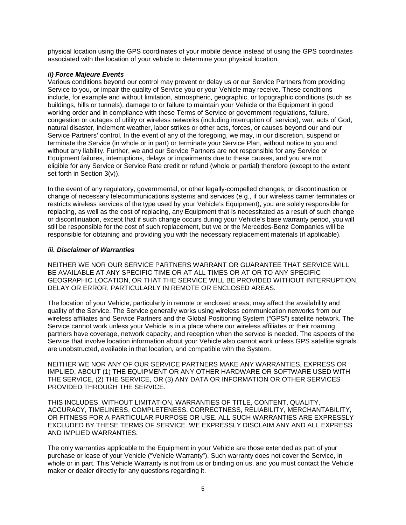physical location using the GPS coordinates of your mobile device instead of using the GPS coordinates associated with the location of your vehicle to determine your physical location.

## *ii) Force Majeure Events*

Various conditions beyond our control may prevent or delay us or our Service Partners from providing Service to you, or impair the quality of Service you or your Vehicle may receive. These conditions include, for example and without limitation, atmospheric, geographic, or topographic conditions (such as buildings, hills or tunnels), damage to or failure to maintain your Vehicle or the Equipment in good working order and in compliance with these Terms of Service or government regulations, failure, congestion or outages of utility or wireless networks (including interruption of service), war, acts of God, natural disaster, inclement weather, labor strikes or other acts, forces, or causes beyond our and our Service Partners' control. In the event of any of the foregoing, we may, in our discretion, suspend or terminate the Service (in whole or in part) or terminate your Service Plan, without notice to you and without any liability. Further, we and our Service Partners are not responsible for any Service or Equipment failures, interruptions, delays or impairments due to these causes, and you are not eligible for any Service or Service Rate credit or refund (whole or partial) therefore (except to the extent set forth in Section 3(v)).

In the event of any regulatory, governmental, or other legally-compelled changes, or discontinuation or change of necessary telecommunications systems and services (e.g., if our wireless carrier terminates or restricts wireless services of the type used by your Vehicle's Equipment), you are solely responsible for replacing, as well as the cost of replacing, any Equipment that is necessitated as a result of such change or discontinuation, except that if such change occurs during your Vehicle's base warranty period, you will still be responsible for the cost of such replacement, but we or the Mercedes-Benz Companies will be responsible for obtaining and providing you with the necessary replacement materials (if applicable).

## *iii. Disclaimer of Warranties*

NEITHER WE NOR OUR SERVICE PARTNERS WARRANT OR GUARANTEE THAT SERVICE WILL BE AVAILABLE AT ANY SPECIFIC TIME OR AT ALL TIMES OR AT OR TO ANY SPECIFIC GEOGRAPHIC LOCATION, OR THAT THE SERVICE WILL BE PROVIDED WITHOUT INTERRUPTION, DELAY OR ERROR, PARTICULARLY IN REMOTE OR ENCLOSED AREAS.

The location of your Vehicle, particularly in remote or enclosed areas, may affect the availability and quality of the Service. The Service generally works using wireless communication networks from our wireless affiliates and Service Partners and the Global Positioning System ("GPS") satellite network. The Service cannot work unless your Vehicle is in a place where our wireless affiliates or their roaming partners have coverage, network capacity, and reception when the service is needed. The aspects of the Service that involve location information about your Vehicle also cannot work unless GPS satellite signals are unobstructed, available in that location, and compatible with the System.

NEITHER WE NOR ANY OF OUR SERVICE PARTNERS MAKE ANY WARRANTIES, EXPRESS OR IMPLIED, ABOUT (1) THE EQUIPMENT OR ANY OTHER HARDWARE OR SOFTWARE USED WITH THE SERVICE, (2) THE SERVICE, OR (3) ANY DATA OR INFORMATION OR OTHER SERVICES PROVIDED THROUGH THE SERVICE.

THIS INCLUDES, WITHOUT LIMITATION, WARRANTIES OF TITLE, CONTENT, QUALITY, ACCURACY, TIMELINESS, COMPLETENESS, CORRECTNESS, RELIABILITY, MERCHANTABILITY, OR FITNESS FOR A PARTICULAR PURPOSE OR USE. ALL SUCH WARRANTIES ARE EXPRESSLY EXCLUDED BY THESE TERMS OF SERVICE. WE EXPRESSLY DISCLAIM ANY AND ALL EXPRESS AND IMPLIED WARRANTIES.

The only warranties applicable to the Equipment in your Vehicle are those extended as part of your purchase or lease of your Vehicle ("Vehicle Warranty"). Such warranty does not cover the Service, in whole or in part. This Vehicle Warranty is not from us or binding on us, and you must contact the Vehicle maker or dealer directly for any questions regarding it.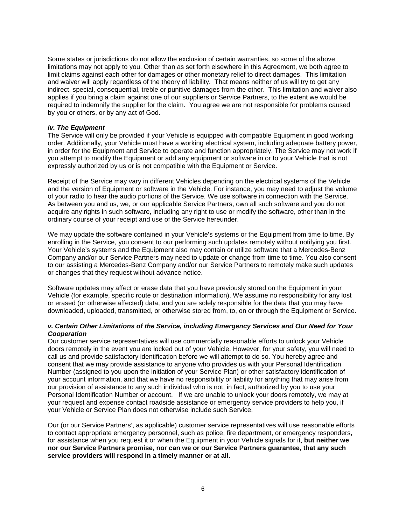Some states or jurisdictions do not allow the exclusion of certain warranties, so some of the above limitations may not apply to you. Other than as set forth elsewhere in this Agreement, we both agree to limit claims against each other for damages or other monetary relief to direct damages. This limitation and waiver will apply regardless of the theory of liability. That means neither of us will try to get any indirect, special, consequential, treble or punitive damages from the other. This limitation and waiver also applies if you bring a claim against one of our suppliers or Service Partners, to the extent we would be required to indemnify the supplier for the claim. You agree we are not responsible for problems caused by you or others, or by any act of God.

#### *iv. The Equipment*

The Service will only be provided if your Vehicle is equipped with compatible Equipment in good working order. Additionally, your Vehicle must have a working electrical system, including adequate battery power, in order for the Equipment and Service to operate and function appropriately. The Service may not work if you attempt to modify the Equipment or add any equipment or software in or to your Vehicle that is not expressly authorized by us or is not compatible with the Equipment or Service.

Receipt of the Service may vary in different Vehicles depending on the electrical systems of the Vehicle and the version of Equipment or software in the Vehicle. For instance, you may need to adjust the volume of your radio to hear the audio portions of the Service. We use software in connection with the Service. As between you and us, we, or our applicable Service Partners, own all such software and you do not acquire any rights in such software, including any right to use or modify the software, other than in the ordinary course of your receipt and use of the Service hereunder.

We may update the software contained in your Vehicle's systems or the Equipment from time to time. By enrolling in the Service, you consent to our performing such updates remotely without notifying you first. Your Vehicle's systems and the Equipment also may contain or utilize software that a Mercedes-Benz Company and/or our Service Partners may need to update or change from time to time. You also consent to our assisting a Mercedes-Benz Company and/or our Service Partners to remotely make such updates or changes that they request without advance notice.

Software updates may affect or erase data that you have previously stored on the Equipment in your Vehicle (for example, specific route or destination information). We assume no responsibility for any lost or erased (or otherwise affected) data, and you are solely responsible for the data that you may have downloaded, uploaded, transmitted, or otherwise stored from, to, on or through the Equipment or Service.

### *v. Certain Other Limitations of the Service, including Emergency Services and Our Need for Your Cooperation*

Our customer service representatives will use commercially reasonable efforts to unlock your Vehicle doors remotely in the event you are locked out of your Vehicle. However, for your safety, you will need to call us and provide satisfactory identification before we will attempt to do so. You hereby agree and consent that we may provide assistance to anyone who provides us with your Personal Identification Number (assigned to you upon the initiation of your Service Plan) or other satisfactory identification of your account information, and that we have no responsibility or liability for anything that may arise from our provision of assistance to any such individual who is not, in fact, authorized by you to use your Personal Identification Number or account. If we are unable to unlock your doors remotely, we may at your request and expense contact roadside assistance or emergency service providers to help you, if your Vehicle or Service Plan does not otherwise include such Service.

Our (or our Service Partners', as applicable) customer service representatives will use reasonable efforts to contact appropriate emergency personnel, such as police, fire department, or emergency responders, for assistance when you request it or when the Equipment in your Vehicle signals for it, **but neither we nor our Service Partners promise, nor can we or our Service Partners guarantee, that any such service providers will respond in a timely manner or at all.**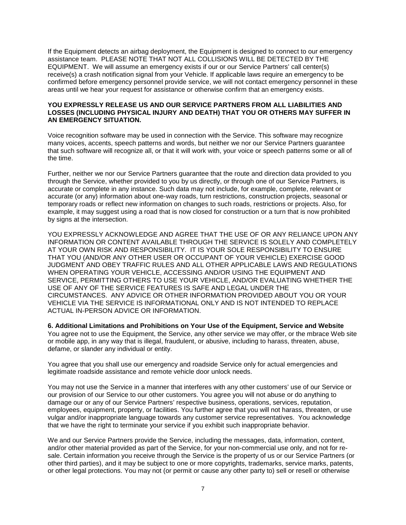If the Equipment detects an airbag deployment, the Equipment is designed to connect to our emergency assistance team. PLEASE NOTE THAT NOT ALL COLLISIONS WILL BE DETECTED BY THE EQUIPMENT. We will assume an emergency exists if our or our Service Partners' call center(s) receive(s) a crash notification signal from your Vehicle. If applicable laws require an emergency to be confirmed before emergency personnel provide service, we will not contact emergency personnel in these areas until we hear your request for assistance or otherwise confirm that an emergency exists.

### **YOU EXPRESSLY RELEASE US AND OUR SERVICE PARTNERS FROM ALL LIABILITIES AND LOSSES (INCLUDING PHYSICAL INJURY AND DEATH) THAT YOU OR OTHERS MAY SUFFER IN AN EMERGENCY SITUATION.**

Voice recognition software may be used in connection with the Service. This software may recognize many voices, accents, speech patterns and words, but neither we nor our Service Partners guarantee that such software will recognize all, or that it will work with, your voice or speech patterns some or all of the time.

Further, neither we nor our Service Partners guarantee that the route and direction data provided to you through the Service, whether provided to you by us directly, or through one of our Service Partners, is accurate or complete in any instance. Such data may not include, for example, complete, relevant or accurate (or any) information about one-way roads, turn restrictions, construction projects, seasonal or temporary roads or reflect new information on changes to such roads, restrictions or projects. Also, for example, it may suggest using a road that is now closed for construction or a turn that is now prohibited by signs at the intersection.

YOU EXPRESSLY ACKNOWLEDGE AND AGREE THAT THE USE OF OR ANY RELIANCE UPON ANY INFORMATION OR CONTENT AVAILABLE THROUGH THE SERVICE IS SOLELY AND COMPLETELY AT YOUR OWN RISK AND RESPONSIBILITY. IT IS YOUR SOLE RESPONSIBILITY TO ENSURE THAT YOU (AND/OR ANY OTHER USER OR OCCUPANT OF YOUR VEHICLE) EXERCISE GOOD JUDGMENT AND OBEY TRAFFIC RULES AND ALL OTHER APPLICABLE LAWS AND REGULATIONS WHEN OPERATING YOUR VEHICLE, ACCESSING AND/OR USING THE EQUIPMENT AND SERVICE, PERMITTING OTHERS TO USE YOUR VEHICLE, AND/OR EVALUATING WHETHER THE USE OF ANY OF THE SERVICE FEATURES IS SAFE AND LEGAL UNDER THE CIRCUMSTANCES. ANY ADVICE OR OTHER INFORMATION PROVIDED ABOUT YOU OR YOUR VEHICLE VIA THE SERVICE IS INFORMATIONAL ONLY AND IS NOT INTENDED TO REPLACE ACTUAL IN-PERSON ADVICE OR INFORMATION.

**6. Additional Limitations and Prohibitions on Your Use of the Equipment, Service and Website** You agree not to use the Equipment, the Service, any other service we may offer, or the mbrace Web site or mobile app, in any way that is illegal, fraudulent, or abusive, including to harass, threaten, abuse, defame, or slander any individual or entity.

You agree that you shall use our emergency and roadside Service only for actual emergencies and legitimate roadside assistance and remote vehicle door unlock needs.

You may not use the Service in a manner that interferes with any other customers' use of our Service or our provision of our Service to our other customers. You agree you will not abuse or do anything to damage our or any of our Service Partners' respective business, operations, services, reputation, employees, equipment, property, or facilities. You further agree that you will not harass, threaten, or use vulgar and/or inappropriate language towards any customer service representatives. You acknowledge that we have the right to terminate your service if you exhibit such inappropriate behavior.

We and our Service Partners provide the Service, including the messages, data, information, content, and/or other material provided as part of the Service, for your non-commercial use only, and not for resale. Certain information you receive through the Service is the property of us or our Service Partners (or other third parties), and it may be subject to one or more copyrights, trademarks, service marks, patents, or other legal protections. You may not (or permit or cause any other party to) sell or resell or otherwise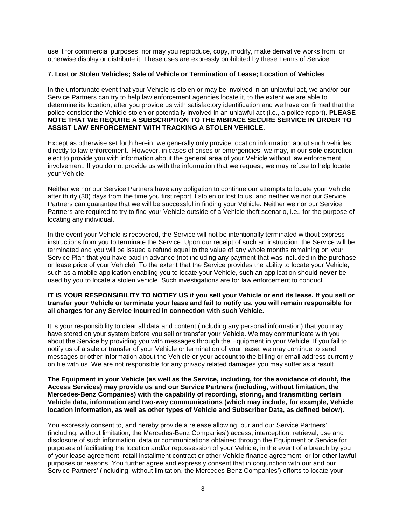use it for commercial purposes, nor may you reproduce, copy, modify, make derivative works from, or otherwise display or distribute it. These uses are expressly prohibited by these Terms of Service.

### **7. Lost or Stolen Vehicles; Sale of Vehicle or Termination of Lease; Location of Vehicles**

In the unfortunate event that your Vehicle is stolen or may be involved in an unlawful act, we and/or our Service Partners can try to help law enforcement agencies locate it, to the extent we are able to determine its location, after you provide us with satisfactory identification and we have confirmed that the police consider the Vehicle stolen or potentially involved in an unlawful act (i.e., a police report). **PLEASE NOTE THAT WE REQUIRE A SUBSCRIPTION TO THE MBRACE SECURE SERVICE IN ORDER TO ASSIST LAW ENFORCEMENT WITH TRACKING A STOLEN VEHICLE.** 

Except as otherwise set forth herein, we generally only provide location information about such vehicles directly to law enforcement. However, in cases of crises or emergencies, we may, in our **sole** discretion, elect to provide you with information about the general area of your Vehicle without law enforcement involvement. If you do not provide us with the information that we request, we may refuse to help locate your Vehicle.

Neither we nor our Service Partners have any obligation to continue our attempts to locate your Vehicle after thirty (30) days from the time you first report it stolen or lost to us, and neither we nor our Service Partners can guarantee that we will be successful in finding your Vehicle. Neither we nor our Service Partners are required to try to find your Vehicle outside of a Vehicle theft scenario, i.e., for the purpose of locating any individual.

In the event your Vehicle is recovered, the Service will not be intentionally terminated without express instructions from you to terminate the Service. Upon our receipt of such an instruction, the Service will be terminated and you will be issued a refund equal to the value of any whole months remaining on your Service Plan that you have paid in advance (not including any payment that was included in the purchase or lease price of your Vehicle). To the extent that the Service provides the ability to locate your Vehicle, such as a mobile application enabling you to locate your Vehicle, such an application should **never** be used by you to locate a stolen vehicle. Such investigations are for law enforcement to conduct.

### **IT IS YOUR RESPONSIBILITY TO NOTIFY US if you sell your Vehicle or end its lease. If you sell or transfer your Vehicle or terminate your lease and fail to notify us, you will remain responsible for all charges for any Service incurred in connection with such Vehicle.**

It is your responsibility to clear all data and content (including any personal information) that you may have stored on your system before you sell or transfer your Vehicle. We may communicate with you about the Service by providing you with messages through the Equipment in your Vehicle. If you fail to notify us of a sale or transfer of your Vehicle or termination of your lease, we may continue to send messages or other information about the Vehicle or your account to the billing or email address currently on file with us. We are not responsible for any privacy related damages you may suffer as a result.

#### **The Equipment in your Vehicle (as well as the Service, including, for the avoidance of doubt, the Access Services) may provide us and our Service Partners (including, without limitation, the Mercedes-Benz Companies) with the capability of recording, storing, and transmitting certain Vehicle data, information and two-way communications (which may include, for example, Vehicle location information, as well as other types of Vehicle and Subscriber Data, as defined below).**

You expressly consent to, and hereby provide a release allowing, our and our Service Partners' (including, without limitation, the Mercedes-Benz Companies') access, interception, retrieval, use and disclosure of such information, data or communications obtained through the Equipment or Service for purposes of facilitating the location and/or repossession of your Vehicle, in the event of a breach by you of your lease agreement, retail installment contract or other Vehicle finance agreement, or for other lawful purposes or reasons. You further agree and expressly consent that in conjunction with our and our Service Partners' (including, without limitation, the Mercedes-Benz Companies') efforts to locate your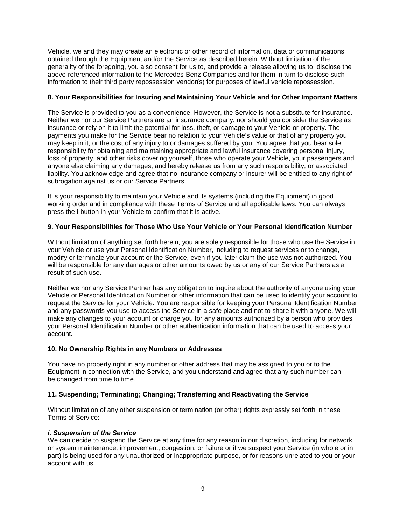Vehicle, we and they may create an electronic or other record of information, data or communications obtained through the Equipment and/or the Service as described herein. Without limitation of the generality of the foregoing, you also consent for us to, and provide a release allowing us to, disclose the above-referenced information to the Mercedes-Benz Companies and for them in turn to disclose such information to their third party repossession vendor(s) for purposes of lawful vehicle repossession.

# **8. Your Responsibilities for Insuring and Maintaining Your Vehicle and for Other Important Matters**

The Service is provided to you as a convenience. However, the Service is not a substitute for insurance. Neither we nor our Service Partners are an insurance company, nor should you consider the Service as insurance or rely on it to limit the potential for loss, theft, or damage to your Vehicle or property. The payments you make for the Service bear no relation to your Vehicle's value or that of any property you may keep in it, or the cost of any injury to or damages suffered by you. You agree that you bear sole responsibility for obtaining and maintaining appropriate and lawful insurance covering personal injury, loss of property, and other risks covering yourself, those who operate your Vehicle, your passengers and anyone else claiming any damages, and hereby release us from any such responsibility, or associated liability. You acknowledge and agree that no insurance company or insurer will be entitled to any right of subrogation against us or our Service Partners.

It is your responsibility to maintain your Vehicle and its systems (including the Equipment) in good working order and in compliance with these Terms of Service and all applicable laws. You can always press the i-button in your Vehicle to confirm that it is active.

# **9. Your Responsibilities for Those Who Use Your Vehicle or Your Personal Identification Number**

Without limitation of anything set forth herein, you are solely responsible for those who use the Service in your Vehicle or use your Personal Identification Number, including to request services or to change, modify or terminate your account or the Service, even if you later claim the use was not authorized. You will be responsible for any damages or other amounts owed by us or any of our Service Partners as a result of such use.

Neither we nor any Service Partner has any obligation to inquire about the authority of anyone using your Vehicle or Personal Identification Number or other information that can be used to identify your account to request the Service for your Vehicle. You are responsible for keeping your Personal Identification Number and any passwords you use to access the Service in a safe place and not to share it with anyone. We will make any changes to your account or charge you for any amounts authorized by a person who provides your Personal Identification Number or other authentication information that can be used to access your account.

# **10. No Ownership Rights in any Numbers or Addresses**

You have no property right in any number or other address that may be assigned to you or to the Equipment in connection with the Service, and you understand and agree that any such number can be changed from time to time.

# **11. Suspending; Terminating; Changing; Transferring and Reactivating the Service**

Without limitation of any other suspension or termination (or other) rights expressly set forth in these Terms of Service:

### *i. Suspension of the Service*

We can decide to suspend the Service at any time for any reason in our discretion, including for network or system maintenance, improvement, congestion, or failure or if we suspect your Service (in whole or in part) is being used for any unauthorized or inappropriate purpose, or for reasons unrelated to you or your account with us.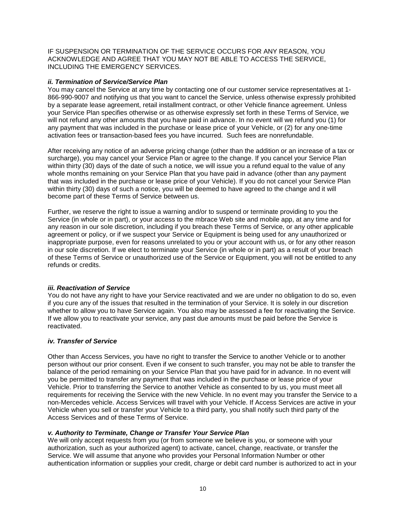IF SUSPENSION OR TERMINATION OF THE SERVICE OCCURS FOR ANY REASON, YOU ACKNOWLEDGE AND AGREE THAT YOU MAY NOT BE ABLE TO ACCESS THE SERVICE, INCLUDING THE EMERGENCY SERVICES.

## *ii. Termination of Service/Service Plan*

You may cancel the Service at any time by contacting one of our customer service representatives at 1- 866-990-9007 and notifying us that you want to cancel the Service, unless otherwise expressly prohibited by a separate lease agreement, retail installment contract, or other Vehicle finance agreement. Unless your Service Plan specifies otherwise or as otherwise expressly set forth in these Terms of Service, we will not refund any other amounts that you have paid in advance. In no event will we refund you (1) for any payment that was included in the purchase or lease price of your Vehicle, or (2) for any one-time activation fees or transaction-based fees you have incurred. Such fees are nonrefundable.

After receiving any notice of an adverse pricing change (other than the addition or an increase of a tax or surcharge), you may cancel your Service Plan or agree to the change. If you cancel your Service Plan within thirty (30) days of the date of such a notice, we will issue you a refund equal to the value of any whole months remaining on your Service Plan that you have paid in advance (other than any payment that was included in the purchase or lease price of your Vehicle). If you do not cancel your Service Plan within thirty (30) days of such a notice, you will be deemed to have agreed to the change and it will become part of these Terms of Service between us.

Further, we reserve the right to issue a warning and/or to suspend or terminate providing to you the Service (in whole or in part), or your access to the mbrace Web site and mobile app, at any time and for any reason in our sole discretion, including if you breach these Terms of Service, or any other applicable agreement or policy, or if we suspect your Service or Equipment is being used for any unauthorized or inappropriate purpose, even for reasons unrelated to you or your account with us, or for any other reason in our sole discretion. If we elect to terminate your Service (in whole or in part) as a result of your breach of these Terms of Service or unauthorized use of the Service or Equipment, you will not be entitled to any refunds or credits.

### *iii. Reactivation of Service*

You do not have any right to have your Service reactivated and we are under no obligation to do so, even if you cure any of the issues that resulted in the termination of your Service. It is solely in our discretion whether to allow you to have Service again. You also may be assessed a fee for reactivating the Service. If we allow you to reactivate your service, any past due amounts must be paid before the Service is reactivated.

### *iv. Transfer of Service*

Other than Access Services, you have no right to transfer the Service to another Vehicle or to another person without our prior consent. Even if we consent to such transfer, you may not be able to transfer the balance of the period remaining on your Service Plan that you have paid for in advance. In no event will you be permitted to transfer any payment that was included in the purchase or lease price of your Vehicle. Prior to transferring the Service to another Vehicle as consented to by us, you must meet all requirements for receiving the Service with the new Vehicle. In no event may you transfer the Service to a non-Mercedes vehicle. Access Services will travel with your Vehicle. If Access Services are active in your Vehicle when you sell or transfer your Vehicle to a third party, you shall notify such third party of the Access Services and of these Terms of Service.

### *v. Authority to Terminate, Change or Transfer Your Service Plan*

We will only accept requests from you (or from someone we believe is you, or someone with your authorization, such as your authorized agent) to activate, cancel, change, reactivate, or transfer the Service. We will assume that anyone who provides your Personal Information Number or other authentication information or supplies your credit, charge or debit card number is authorized to act in your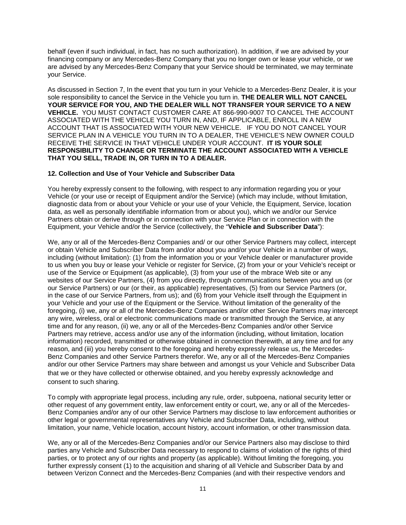behalf (even if such individual, in fact, has no such authorization). In addition, if we are advised by your financing company or any Mercedes-Benz Company that you no longer own or lease your vehicle, or we are advised by any Mercedes-Benz Company that your Service should be terminated, we may terminate your Service.

As discussed in Section 7, In the event that you turn in your Vehicle to a Mercedes-Benz Dealer, it is your sole responsibility to cancel the Service in the Vehicle you turn in. **THE DEALER WILL NOT CANCEL YOUR SERVICE FOR YOU, AND THE DEALER WILL NOT TRANSFER YOUR SERVICE TO A NEW VEHICLE.** YOU MUST CONTACT CUSTOMER CARE AT 866-990-9007 TO CANCEL THE ACCOUNT ASSOCIATED WITH THE VEHICLE YOU TURN IN, AND, IF APPLICABLE, ENROLL IN A NEW ACCOUNT THAT IS ASSOCIATED WITH YOUR NEW VEHICLE. IF YOU DO NOT CANCEL YOUR SERVICE PLAN IN A VEHICLE YOU TURN IN TO A DEALER, THE VEHICLE'S NEW OWNER COULD RECEIVE THE SERVICE IN THAT VEHICLE UNDER YOUR ACCOUNT. **IT IS YOUR SOLE RESPONSIBILITY TO CHANGE OR TERMINATE THE ACCOUNT ASSOCIATED WITH A VEHICLE THAT YOU SELL, TRADE IN, OR TURN IN TO A DEALER.** 

### **12. Collection and Use of Your Vehicle and Subscriber Data**

You hereby expressly consent to the following, with respect to any information regarding you or your Vehicle (or your use or receipt of Equipment and/or the Service) (which may include, without limitation, diagnostic data from or about your Vehicle or your use of your Vehicle, the Equipment, Service, location data, as well as personally identifiable information from or about you), which we and/or our Service Partners obtain or derive through or in connection with your Service Plan or in connection with the Equipment, your Vehicle and/or the Service (collectively, the "**Vehicle and Subscriber Data**"):

We, any or all of the Mercedes-Benz Companies and/ or our other Service Partners may collect, intercept or obtain Vehicle and Subscriber Data from and/or about you and/or your Vehicle in a number of ways, including (without limitation): (1) from the information you or your Vehicle dealer or manufacturer provide to us when you buy or lease your Vehicle or register for Service, (2) from your or your Vehicle's receipt or use of the Service or Equipment (as applicable), (3) from your use of the mbrace Web site or any websites of our Service Partners, (4) from you directly, through communications between you and us (or our Service Partners) or our (or their, as applicable) representatives, (5) from our Service Partners (or, in the case of our Service Partners, from us); and (6) from your Vehicle itself through the Equipment in your Vehicle and your use of the Equipment or the Service. Without limitation of the generality of the foregoing, (i) we, any or all of the Mercedes-Benz Companies and/or other Service Partners may intercept any wire, wireless, oral or electronic communications made or transmitted through the Service, at any time and for any reason, (ii) we, any or all of the Mercedes-Benz Companies and/or other Service Partners may retrieve, access and/or use any of the information (including, without limitation, location information) recorded, transmitted or otherwise obtained in connection therewith, at any time and for any reason, and (iii) you hereby consent to the foregoing and hereby expressly release us, the Mercedes-Benz Companies and other Service Partners therefor. We, any or all of the Mercedes-Benz Companies and/or our other Service Partners may share between and amongst us your Vehicle and Subscriber Data that we or they have collected or otherwise obtained, and you hereby expressly acknowledge and consent to such sharing.

To comply with appropriate legal process, including any rule, order, subpoena, national security letter or other request of any government entity, law enforcement entity or court, we, any or all of the Mercedes-Benz Companies and/or any of our other Service Partners may disclose to law enforcement authorities or other legal or governmental representatives any Vehicle and Subscriber Data, including, without limitation, your name, Vehicle location, account history, account information, or other transmission data.

We, any or all of the Mercedes-Benz Companies and/or our Service Partners also may disclose to third parties any Vehicle and Subscriber Data necessary to respond to claims of violation of the rights of third parties, or to protect any of our rights and property (as applicable). Without limiting the foregoing, you further expressly consent (1) to the acquisition and sharing of all Vehicle and Subscriber Data by and between Verizon Connect and the Mercedes-Benz Companies (and with their respective vendors and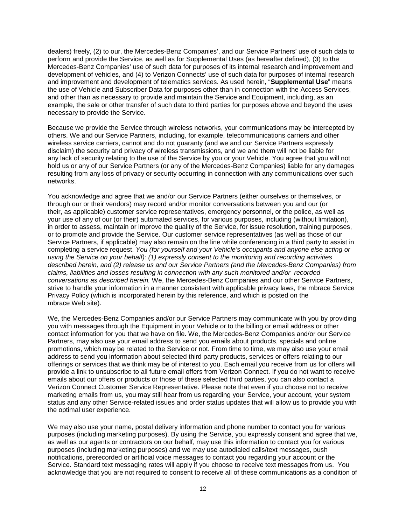dealers) freely, (2) to our, the Mercedes-Benz Companies', and our Service Partners' use of such data to perform and provide the Service, as well as for Supplemental Uses (as hereafter defined), (3) to the Mercedes-Benz Companies' use of such data for purposes of its internal research and improvement and development of vehicles, and (4) to Verizon Connects' use of such data for purposes of internal research and improvement and development of telematics services. As used herein, "**Supplemental Use**" means the use of Vehicle and Subscriber Data for purposes other than in connection with the Access Services, and other than as necessary to provide and maintain the Service and Equipment, including, as an example, the sale or other transfer of such data to third parties for purposes above and beyond the uses necessary to provide the Service.

Because we provide the Service through wireless networks, your communications may be intercepted by others. We and our Service Partners, including, for example, telecommunications carriers and other wireless service carriers, cannot and do not guaranty (and we and our Service Partners expressly disclaim) the security and privacy of wireless transmissions, and we and them will not be liable for any lack of security relating to the use of the Service by you or your Vehicle. You agree that you will not hold us or any of our Service Partners (or any of the Mercedes-Benz Companies) liable for any damages resulting from any loss of privacy or security occurring in connection with any communications over such networks.

You acknowledge and agree that we and/or our Service Partners (either ourselves or themselves, or through our or their vendors) may record and/or monitor conversations between you and our (or their, as applicable) customer service representatives, emergency personnel, or the police, as well as your use of any of our (or their) automated services, for various purposes, including (without limitation), in order to assess, maintain or improve the quality of the Service, for issue resolution, training purposes, or to promote and provide the Service. Our customer service representatives (as well as those of our Service Partners, if applicable) may also remain on the line while conferencing in a third party to assist in completing a service request. *You (for yourself and your Vehicle's occupants and anyone else acting or using the Service on your behalf): (1) expressly consent to the monitoring and recording activities described herein, and (2) release us and our Service Partners (and the Mercedes-Benz Companies) from claims, liabilities and losses resulting in connection with any such monitored and/or recorded conversations as described herein.* We, the Mercedes-Benz Companies and our other Service Partners, strive to handle your information in a manner consistent with applicable privacy laws, the mbrace Service Privacy Policy (which is incorporated herein by this reference, and which is posted on the mbrace Web site).

We, the Mercedes-Benz Companies and/or our Service Partners may communicate with you by providing you with messages through the Equipment in your Vehicle or to the billing or email address or other contact information for you that we have on file. We, the Mercedes-Benz Companies and/or our Service Partners, may also use your email address to send you emails about products, specials and online promotions, which may be related to the Service or not. From time to time, we may also use your email address to send you information about selected third party products, services or offers relating to our offerings or services that we think may be of interest to you. Each email you receive from us for offers will provide a link to unsubscribe to all future email offers from Verizon Connect. If you do not want to receive emails about our offers or products or those of these selected third parties, you can also contact a Verizon Connect Customer Service Representative. Please note that even if you choose not to receive marketing emails from us, you may still hear from us regarding your Service, your account, your system status and any other Service-related issues and order status updates that will allow us to provide you with the optimal user experience.

We may also use your name, postal delivery information and phone number to contact you for various purposes (including marketing purposes). By using the Service, you expressly consent and agree that we, as well as our agents or contractors on our behalf, may use this information to contact you for various purposes (including marketing purposes) and we may use autodialed calls/text messages, push notifications, prerecorded or artificial voice messages to contact you regarding your account or the Service. Standard text messaging rates will apply if you choose to receive text messages from us. You acknowledge that you are not required to consent to receive all of these communications as a condition of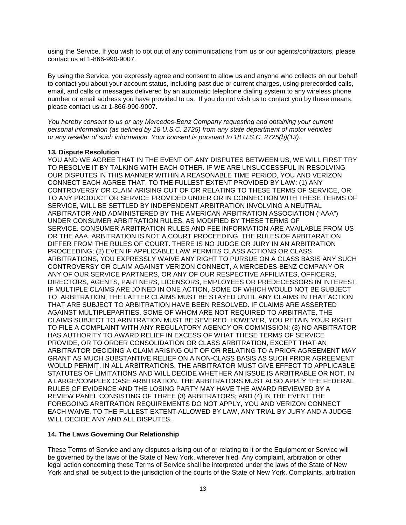using the Service. If you wish to opt out of any communications from us or our agents/contractors, please contact us at 1-866-990-9007.

By using the Service, you expressly agree and consent to allow us and anyone who collects on our behalf to contact you about your account status, including past due or current charges, using prerecorded calls, email, and calls or messages delivered by an automatic telephone dialing system to any wireless phone number or email address you have provided to us. If you do not wish us to contact you by these means, please contact us at 1-866-990-9007.

*You hereby consent to us or any Mercedes-Benz Company requesting and obtaining your current personal information (as defined by 18 U.S.C. 2725) from any state department of motor vehicles or any reseller of such information. Your consent is pursuant to 18 U.S.C. 2725(b)(13).*

## **13. Dispute Resolution**

YOU AND WE AGREE THAT IN THE EVENT OF ANY DISPUTES BETWEEN US, WE WILL FIRST TRY TO RESOLVE IT BY TALKING WITH EACH OTHER. IF WE ARE UNSUCCESSFUL IN RESOLVING OUR DISPUTES IN THIS MANNER WITHIN A REASONABLE TIME PERIOD, YOU AND VERIZON CONNECT EACH AGREE THAT, TO THE FULLEST EXTENT PROVIDED BY LAW: (1) ANY CONTROVERSY OR CLAIM ARISING OUT OF OR RELATING TO THESE TERMS OF SERVICE, OR TO ANY PRODUCT OR SERVICE PROVIDED UNDER OR IN CONNECTION WITH THESE TERMS OF SERVICE, WILL BE SETTLED BY INDEPENDENT ARBITRATION INVOLVING A NEUTRAL ARBITRATOR AND ADMINISTERED BY THE AMERICAN ARBITRATION ASSOCIATION ("AAA") UNDER CONSUMER ARBITRATION RULES, AS MODIFIED BY THESE TERMS OF SERVICE. CONSUMER ARBITRATION RULES AND FEE INFORMATION ARE AVAILABLE FROM US OR THE AAA. ARBITRATION IS NOT A COURT PROCEEDING. THE RULES OF ARBITARATION DIFFER FROM THE RULES OF COURT. THERE IS NO JUDGE OR JURY IN AN ARBITRATION PROCEEDING; (2) EVEN IF APPLICABLE LAW PERMITS CLASS ACTIONS OR CLASS ARBITRATIONS, YOU EXPRESSLY WAIVE ANY RIGHT TO PURSUE ON A CLASS BASIS ANY SUCH CONTROVERSY OR CLAIM AGAINST VERIZON CONNECT, A MERCEDES-BENZ COMPANY OR ANY OF OUR SERVICE PARTNERS, OR ANY OF OUR RESPECTIVE AFFILIATES, OFFICERS, DIRECTORS, AGENTS, PARTNERS, LICENSORS, EMPLOYEES OR PREDECESSORS IN INTEREST. IF MULTIPLE CLAIMS ARE JOINED IN ONE ACTION, SOME OF WHICH WOULD NOT BE SUBJECT TO ARBITRATION, THE LATTER CLAIMS MUST BE STAYED UNTIL ANY CLAIMS IN THAT ACTION THAT ARE SUBJECT TO ARBITRATION HAVE BEEN RESOLVED. IF CLAIMS ARE ASSERTED AGAINST MULTIPLEPARTIES, SOME OF WHOM ARE NOT REQUIRED TO ARBITRATE, THE CLAIMS SUBJECT TO ARBITRATION MUST BE SEVERED. HOWEVER, YOU RETAIN YOUR RIGHT TO FILE A COMPLAINT WITH ANY REGULATORY AGENCY OR COMMISSION; (3) NO ARBITRATOR HAS AUTHORITY TO AWARD RELIEF IN EXCESS OF WHAT THESE TERMS OF SERVICE PROVIDE, OR TO ORDER CONSOLIDATION OR CLASS ARBITRATION, EXCEPT THAT AN ARBITRATOR DECIDING A CLAIM ARISING OUT OF OR RELATING TO A PRIOR AGREEMENT MAY GRANT AS MUCH SUBSTANTIVE RELIEF ON A NON-CLASS BASIS AS SUCH PRIOR AGREEMENT WOULD PERMIT. IN ALL ARBITRATIONS, THE ARBITRATOR MUST GIVE EFFECT TO APPLICABLE STATUTES OF LIMITATIONS AND WILL DECIDE WHETHER AN ISSUE IS ARBITRABLE OR NOT. IN A LARGE/COMPLEX CASE ARBITRATION, THE ARBITRATORS MUST ALSO APPLY THE FEDERAL RULES OF EVIDENCE AND THE LOSING PARTY MAY HAVE THE AWARD REVIEWED BY A REVIEW PANEL CONSISTING OF THREE (3) ARBITRATORS; AND (4) IN THE EVENT THE FOREGOING ARBITRATION REQUIREMENTS DO NOT APPLY, YOU AND VERIZON CONNECT EACH WAIVE, TO THE FULLEST EXTENT ALLOWED BY LAW, ANY TRIAL BY JURY AND A JUDGE WILL DECIDE ANY AND ALL DISPUTES.

# **14. The Laws Governing Our Relationship**

These Terms of Service and any disputes arising out of or relating to it or the Equipment or Service will be governed by the laws of the State of New York, wherever filed. Any complaint, arbitration or other legal action concerning these Terms of Service shall be interpreted under the laws of the State of New York and shall be subject to the jurisdiction of the courts of the State of New York. Complaints, arbitration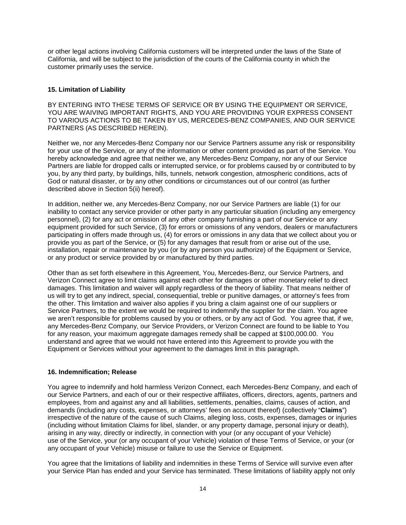or other legal actions involving California customers will be interpreted under the laws of the State of California, and will be subject to the jurisdiction of the courts of the California county in which the customer primarily uses the service.

## **15. Limitation of Liability**

BY ENTERING INTO THESE TERMS OF SERVICE OR BY USING THE EQUIPMENT OR SERVICE, YOU ARE WAIVING IMPORTANT RIGHTS, AND YOU ARE PROVIDING YOUR EXPRESS CONSENT TO VARIOUS ACTIONS TO BE TAKEN BY US, MERCEDES-BENZ COMPANIES, AND OUR SERVICE PARTNERS (AS DESCRIBED HEREIN).

Neither we, nor any Mercedes-Benz Company nor our Service Partners assume any risk or responsibility for your use of the Service, or any of the information or other content provided as part of the Service. You hereby acknowledge and agree that neither we, any Mercedes-Benz Company, nor any of our Service Partners are liable for dropped calls or interrupted service, or for problems caused by or contributed to by you, by any third party, by buildings, hills, tunnels, network congestion, atmospheric conditions, acts of God or natural disaster, or by any other conditions or circumstances out of our control (as further described above in Section 5(ii) hereof).

In addition, neither we, any Mercedes-Benz Company, nor our Service Partners are liable (1) for our inability to contact any service provider or other party in any particular situation (including any emergency personnel), (2) for any act or omission of any other company furnishing a part of our Service or any equipment provided for such Service, (3) for errors or omissions of any vendors, dealers or manufacturers participating in offers made through us, (4) for errors or omissions in any data that we collect about you or provide you as part of the Service, or (5) for any damages that result from or arise out of the use, installation, repair or maintenance by you (or by any person you authorize) of the Equipment or Service, or any product or service provided by or manufactured by third parties.

Other than as set forth elsewhere in this Agreement, You, Mercedes-Benz, our Service Partners, and Verizon Connect agree to limit claims against each other for damages or other monetary relief to direct damages. This limitation and waiver will apply regardless of the theory of liability. That means neither of us will try to get any indirect, special, consequential, treble or punitive damages, or attorney's fees from the other. This limitation and waiver also applies if you bring a claim against one of our suppliers or Service Partners, to the extent we would be required to indemnify the supplier for the claim. You agree we aren't responsible for problems caused by you or others, or by any act of God. You agree that, if we, any Mercedes-Benz Company, our Service Providers, or Verizon Connect are found to be liable to You for any reason, your maximum aggregate damages remedy shall be capped at \$100,000.00. You understand and agree that we would not have entered into this Agreement to provide you with the Equipment or Services without your agreement to the damages limit in this paragraph.

### **16. Indemnification; Release**

You agree to indemnify and hold harmless Verizon Connect, each Mercedes-Benz Company, and each of our Service Partners, and each of our or their respective affiliates, officers, directors, agents, partners and employees, from and against any and all liabilities, settlements, penalties, claims, causes of action, and demands (including any costs, expenses, or attorneys' fees on account thereof) (collectively "**Claims**") irrespective of the nature of the cause of such Claims, alleging loss, costs, expenses, damages or injuries (including without limitation Claims for libel, slander, or any property damage, personal injury or death), arising in any way, directly or indirectly, in connection with your (or any occupant of your Vehicle) use of the Service, your (or any occupant of your Vehicle) violation of these Terms of Service, or your (or any occupant of your Vehicle) misuse or failure to use the Service or Equipment.

You agree that the limitations of liability and indemnities in these Terms of Service will survive even after your Service Plan has ended and your Service has terminated. These limitations of liability apply not only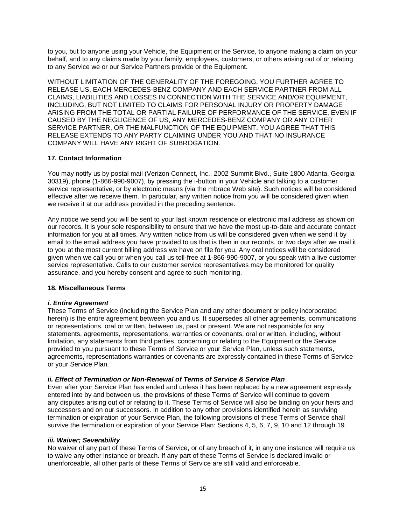to you, but to anyone using your Vehicle, the Equipment or the Service, to anyone making a claim on your behalf, and to any claims made by your family, employees, customers, or others arising out of or relating to any Service we or our Service Partners provide or the Equipment.

WITHOUT LIMITATION OF THE GENERALITY OF THE FOREGOING, YOU FURTHER AGREE TO RELEASE US, EACH MERCEDES-BENZ COMPANY AND EACH SERVICE PARTNER FROM ALL CLAIMS, LIABILITIES AND LOSSES IN CONNECTION WITH THE SERVICE AND/OR EQUIPMENT, INCLUDING, BUT NOT LIMITED TO CLAIMS FOR PERSONAL INJURY OR PROPERTY DAMAGE ARISING FROM THE TOTAL OR PARTIAL FAILURE OF PERFORMANCE OF THE SERVICE, EVEN IF CAUSED BY THE NEGLIGENCE OF US, ANY MERCEDES-BENZ COMPANY OR ANY OTHER SERVICE PARTNER, OR THE MALFUNCTION OF THE EQUIPMENT. YOU AGREE THAT THIS RELEASE EXTENDS TO ANY PARTY CLAIMING UNDER YOU AND THAT NO INSURANCE COMPANY WILL HAVE ANY RIGHT OF SUBROGATION.

## **17. Contact Information**

You may notify us by postal mail (Verizon Connect, Inc., 2002 Summit Blvd., Suite 1800 Atlanta, Georgia 30319), phone (1-866-990-9007), by pressing the i-button in your Vehicle and talking to a customer service representative, or by electronic means (via the mbrace Web site). Such notices will be considered effective after we receive them. In particular, any written notice from you will be considered given when we receive it at our address provided in the preceding sentence.

Any notice we send you will be sent to your last known residence or electronic mail address as shown on our records. It is your sole responsibility to ensure that we have the most up-to-date and accurate contact information for you at all times. Any written notice from us will be considered given when we send it by email to the email address you have provided to us that is then in our records, or two days after we mail it to you at the most current billing address we have on file for you. Any oral notices will be considered given when we call you or when you call us toll-free at 1-866-990-9007, or you speak with a live customer service representative. Calls to our customer service representatives may be monitored for quality assurance, and you hereby consent and agree to such monitoring.

### **18. Miscellaneous Terms**

### *i. Entire Agreement*

These Terms of Service (including the Service Plan and any other document or policy incorporated herein) is the entire agreement between you and us. It supersedes all other agreements, communications or representations, oral or written, between us, past or present. We are not responsible for any statements, agreements, representations, warranties or covenants, oral or written, including, without limitation, any statements from third parties, concerning or relating to the Equipment or the Service provided to you pursuant to these Terms of Service or your Service Plan, unless such statements, agreements, representations warranties or covenants are expressly contained in these Terms of Service or your Service Plan.

### *ii. Effect of Termination or Non-Renewal of Terms of Service & Service Plan*

Even after your Service Plan has ended and unless it has been replaced by a new agreement expressly entered into by and between us, the provisions of these Terms of Service will continue to govern any disputes arising out of or relating to it. These Terms of Service will also be binding on your heirs and successors and on our successors. In addition to any other provisions identified herein as surviving termination or expiration of your Service Plan, the following provisions of these Terms of Service shall survive the termination or expiration of your Service Plan: Sections 4, 5, 6, 7, 9, 10 and 12 through 19.

### *iii. Waiver; Severability*

No waiver of any part of these Terms of Service, or of any breach of it, in any one instance will require us to waive any other instance or breach. If any part of these Terms of Service is declared invalid or unenforceable, all other parts of these Terms of Service are still valid and enforceable.